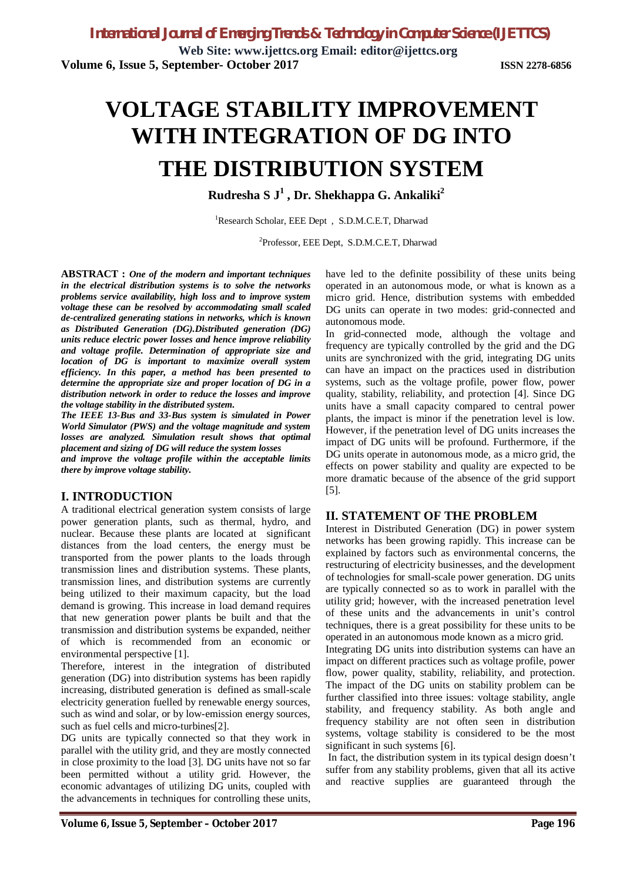**Web Site: [www.ijettcs.org](http://www.ijettcs.org) Email: [editor@ijettcs.org](mailto:editor@ijettcs.org) Volume 6, Issue 5, September- October 2017 ISSN 2278-6856**

# **VOLTAGE STABILITY IMPROVEMENT WITH INTEGRATION OF DG INTO THE DISTRIBUTION SYSTEM**

 **Rudresha S J<sup>1</sup> , Dr. Shekhappa G. Ankaliki<sup>2</sup>**

<sup>1</sup>Research Scholar, EEE Dept, S.D.M.C.E.T, Dharwad

<sup>2</sup>Professor, EEE Dept, S.D.M.C.E.T, Dharwad

**ABSTRACT :** *One of the modern and important techniques in the electrical distribution systems is to solve the networks problems service availability, high loss and to improve system voltage these can be resolved by accommodating small scaled de-centralized generating stations in networks, which is known as Distributed Generation (DG).Distributed generation (DG) units reduce electric power losses and hence improve reliability and voltage profile. Determination of appropriate size and location of DG is important to maximize overall system efficiency. In this paper, a method has been presented to determine the appropriate size and proper location of DG in a distribution network in order to reduce the losses and improve the voltage stability in the distributed system.*

*The IEEE 13-Bus and 33-Bus system is simulated in Power World Simulator (PWS) and the voltage magnitude and system losses are analyzed. Simulation result shows that optimal placement and sizing of DG will reduce the system losses*

*and improve the voltage profile within the acceptable limits there by improve voltage stability.*

# **I. INTRODUCTION**

A traditional electrical generation system consists of large power generation plants, such as thermal, hydro, and nuclear. Because these plants are located at significant distances from the load centers, the energy must be transported from the power plants to the loads through transmission lines and distribution systems. These plants, transmission lines, and distribution systems are currently being utilized to their maximum capacity, but the load demand is growing. This increase in load demand requires that new generation power plants be built and that the transmission and distribution systems be expanded, neither of which is recommended from an economic or environmental perspective [1].

Therefore, interest in the integration of distributed generation (DG) into distribution systems has been rapidly increasing, distributed generation is defined as small-scale electricity generation fuelled by renewable energy sources, such as wind and solar, or by low-emission energy sources, such as fuel cells and micro-turbines[2].

DG units are typically connected so that they work in parallel with the utility grid, and they are mostly connected in close proximity to the load [3]. DG units have not so far been permitted without a utility grid. However, the economic advantages of utilizing DG units, coupled with the advancements in techniques for controlling these units,

have led to the definite possibility of these units being operated in an autonomous mode, or what is known as a micro grid. Hence, distribution systems with embedded DG units can operate in two modes: grid-connected and autonomous mode.

In grid-connected mode, although the voltage and frequency are typically controlled by the grid and the DG units are synchronized with the grid, integrating DG units can have an impact on the practices used in distribution systems, such as the voltage profile, power flow, power quality, stability, reliability, and protection [4]. Since DG units have a small capacity compared to central power plants, the impact is minor if the penetration level is low. However, if the penetration level of DG units increases the impact of DG units will be profound. Furthermore, if the DG units operate in autonomous mode, as a micro grid, the effects on power stability and quality are expected to be more dramatic because of the absence of the grid support [5].

### **II. STATEMENT OF THE PROBLEM**

Interest in Distributed Generation (DG) in power system networks has been growing rapidly. This increase can be explained by factors such as environmental concerns, the restructuring of electricity businesses, and the development of technologies for small-scale power generation. DG units are typically connected so as to work in parallel with the utility grid; however, with the increased penetration level of these units and the advancements in unit's control techniques, there is a great possibility for these units to be operated in an autonomous mode known as a micro grid.

Integrating DG units into distribution systems can have an impact on different practices such as voltage profile, power flow, power quality, stability, reliability, and protection. The impact of the DG units on stability problem can be further classified into three issues: voltage stability, angle stability, and frequency stability. As both angle and frequency stability are not often seen in distribution systems, voltage stability is considered to be the most significant in such systems [6].

In fact, the distribution system in its typical design doesn't suffer from any stability problems, given that all its active and reactive supplies are guaranteed through the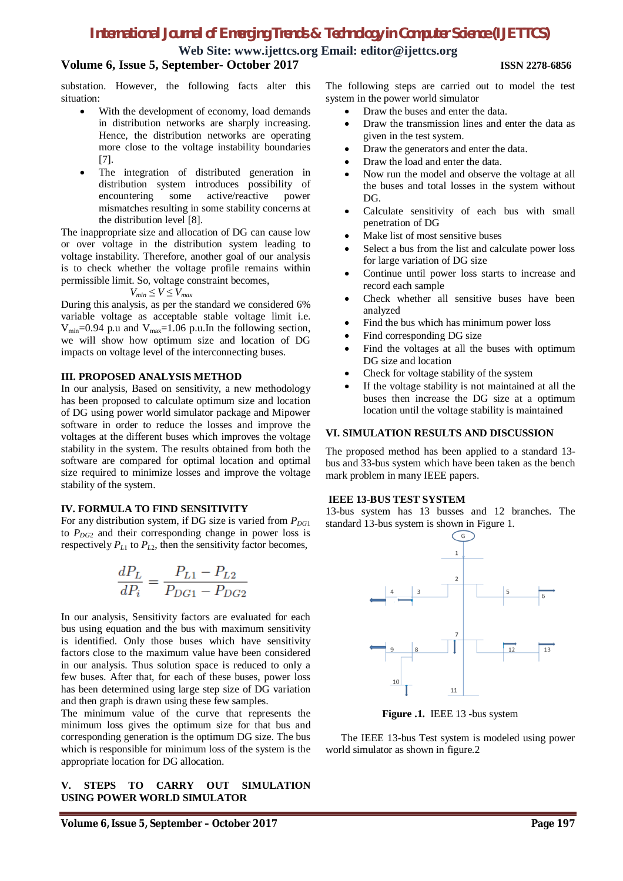# *International Journal of Emerging Trends & Technology in Computer Science (IJETTCS)*

**Web Site: [www.ijettcs.org](http://www.ijettcs.org) Email: [editor@ijettcs.org](mailto:editor@ijettcs.org)**

## **Volume 6, Issue 5, September- October 2017 ISSN 2278-6856**

substation. However, the following facts alter this situation:

- With the development of economy, load demands in distribution networks are sharply increasing. Hence, the distribution networks are operating more close to the voltage instability boundaries [7].
- The integration of distributed generation in distribution system introduces possibility of encountering some active/reactive power mismatches resulting in some stability concerns at the distribution level [8].

The inappropriate size and allocation of DG can cause low or over voltage in the distribution system leading to voltage instability. Therefore, another goal of our analysis is to check whether the voltage profile remains within permissible limit. So, voltage constraint becomes,

$$
V_{min} \le V \le V_{max}
$$

During this analysis, as per the standard we considered 6% variable voltage as acceptable stable voltage limit i.e.  $V_{\text{min}}$ =0.94 p.u and  $V_{\text{max}}$ =1.06 p.u.In the following section, we will show how optimum size and location of DG impacts on voltage level of the interconnecting buses.

### **III. PROPOSED ANALYSIS METHOD**

In our analysis, Based on sensitivity, a new methodology has been proposed to calculate optimum size and location of DG using power world simulator package and Mipower software in order to reduce the losses and improve the voltages at the different buses which improves the voltage stability in the system. The results obtained from both the software are compared for optimal location and optimal size required to minimize losses and improve the voltage stability of the system.

### **IV. FORMULA TO FIND SENSITIVITY**

For any distribution system, if DG size is varied from  $P_{DGP}$ to  $P_{DG2}$  and their corresponding change in power loss is respectively  $P_{L1}$  to  $P_{L2}$ , then the sensitivity factor becomes,

$$
\frac{dP_L}{dP_i} = \frac{P_{L1} - P_{L2}}{P_{DG1} - P_{DG2}}
$$

In our analysis, Sensitivity factors are evaluated for each bus using equation and the bus with maximum sensitivity is identified. Only those buses which have sensitivity factors close to the maximum value have been considered in our analysis. Thus solution space is reduced to only a few buses. After that, for each of these buses, power loss has been determined using large step size of DG variation and then graph is drawn using these few samples.

The minimum value of the curve that represents the minimum loss gives the optimum size for that bus and corresponding generation is the optimum DG size. The bus which is responsible for minimum loss of the system is the appropriate location for DG allocation.

### **V. STEPS TO CARRY OUT SIMULATION USING POWER WORLD SIMULATOR**

The following steps are carried out to model the test system in the power world simulator

- Draw the buses and enter the data.
- Draw the transmission lines and enter the data as given in the test system.
- Draw the generators and enter the data.
- Draw the load and enter the data.
- Now run the model and observe the voltage at all the buses and total losses in the system without DG.
- Calculate sensitivity of each bus with small penetration of DG
- Make list of most sensitive buses
- Select a bus from the list and calculate power loss for large variation of DG size
- Continue until power loss starts to increase and record each sample
- Check whether all sensitive buses have been analyzed
- Find the bus which has minimum power loss
- Find corresponding DG size
- Find the voltages at all the buses with optimum DG size and location
- Check for voltage stability of the system
- If the voltage stability is not maintained at all the buses then increase the DG size at a optimum location until the voltage stability is maintained

### **VI. SIMULATION RESULTS AND DISCUSSION**

The proposed method has been applied to a standard 13 bus and 33-bus system which have been taken as the bench mark problem in many IEEE papers.

### **IEEE 13-BUS TEST SYSTEM**

13-bus system has 13 busses and 12 branches. The standard 13-bus system is shown in Figure 1.



**Figure .1.** IEEE 13 -bus system

 The IEEE 13-bus Test system is modeled using power world simulator as shown in figure.2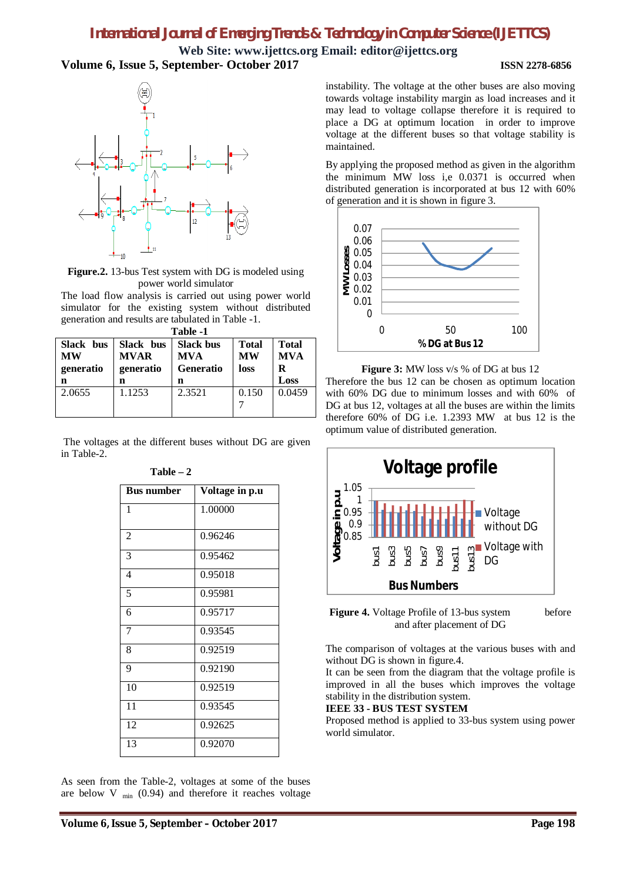# *International Journal of Emerging Trends & Technology in Computer Science (IJETTCS)*

**Web Site: [www.ijettcs.org](http://www.ijettcs.org) Email: [editor@ijettcs.org](mailto:editor@ijettcs.org) Volume 6, Issue 5, September- October 2017 ISSN 2278-6856**



**Figure.2.** 13-bus Test system with DG is modeled using power world simulator

The load flow analysis is carried out using power world simulator for the existing system without distributed generation and results are tabulated in Table -1.

| Table -1  |             |                  |              |              |  |  |
|-----------|-------------|------------------|--------------|--------------|--|--|
| Slack bus | Slack bus   | <b>Slack bus</b> | <b>Total</b> | <b>Total</b> |  |  |
| MW        | <b>MVAR</b> | <b>MVA</b>       | <b>MW</b>    | <b>MVA</b>   |  |  |
| generatio | generatio   | <b>Generatio</b> | loss         | R            |  |  |
| n         | n           | n                |              | Loss         |  |  |
| 2.0655    | 1.1253      | 2.3521           | 0.150        | 0.0459       |  |  |
|           |             |                  |              |              |  |  |
|           |             |                  |              |              |  |  |

The voltages at the different buses without DG are given in Table-2.

| <b>Bus number</b> | Voltage in p.u |  |  |
|-------------------|----------------|--|--|
| 1                 | 1.00000        |  |  |
| $\overline{2}$    | 0.96246        |  |  |
| $\overline{3}$    | 0.95462        |  |  |
| $\overline{4}$    | 0.95018        |  |  |
| 5                 | 0.95981        |  |  |
| 6                 | 0.95717        |  |  |
| $\overline{7}$    | 0.93545        |  |  |
| 8                 | 0.92519        |  |  |
| 9                 | 0.92190        |  |  |
| 10                | 0.92519        |  |  |
| $\overline{11}$   | 0.93545        |  |  |
| 12                | 0.92625        |  |  |
| 13                | 0.92070        |  |  |

### **Table – 2**

As seen from the Table-2, voltages at some of the buses are below  $V_{min}$  (0.94) and therefore it reaches voltage

instability. The voltage at the other buses are also moving towards voltage instability margin as load increases and it may lead to voltage collapse therefore it is required to place a DG at optimum location in order to improve voltage at the different buses so that voltage stability is maintained.

By applying the proposed method as given in the algorithm the minimum MW loss i,e 0.0371 is occurred when distributed generation is incorporated at bus 12 with 60% of generation and it is shown in figure 3.



**Figure 3:** MW loss v/s % of DG at bus 12 Therefore the bus 12 can be chosen as optimum location with 60% DG due to minimum losses and with 60% of DG at bus 12, voltages at all the buses are within the limits therefore 60% of DG i.e. 1.2393 MW at bus 12 is the optimum value of distributed generation.



**Figure 4.** Voltage Profile of 13-bus system before and after placement of DG

The comparison of voltages at the various buses with and without DG is shown in figure.4.

It can be seen from the diagram that the voltage profile is improved in all the buses which improves the voltage stability in the distribution system.

### **IEEE 33 - BUS TEST SYSTEM**

Proposed method is applied to 33-bus system using power world simulator.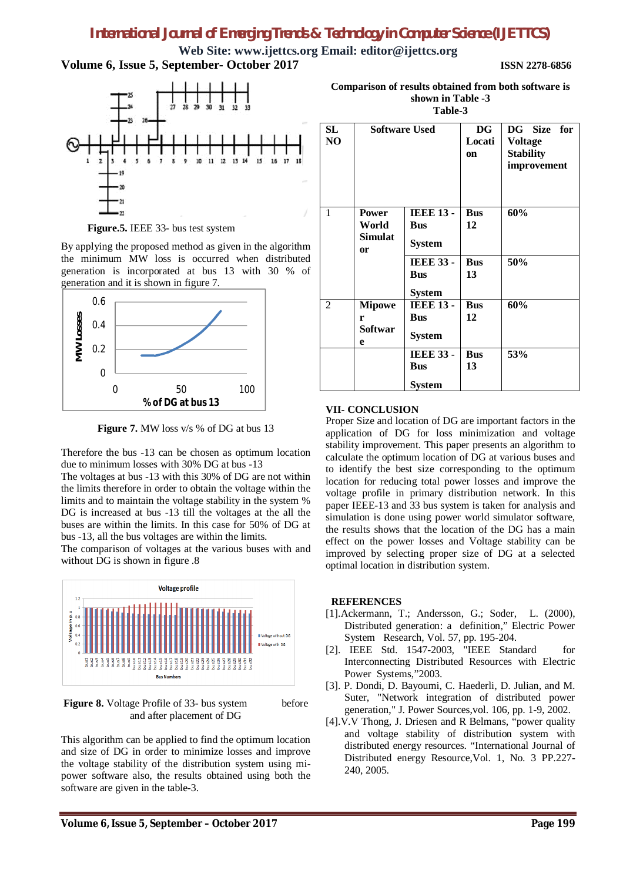# *International Journal of Emerging Trends & Technology in Computer Science (IJETTCS)*

**Web Site: [www.ijettcs.org](http://www.ijettcs.org) Email: [editor@ijettcs.org](mailto:editor@ijettcs.org) Volume 6, Issue 5, September- October 2017 ISSN 2278-6856**



**Figure.5.** IEEE 33- bus test system

By applying the proposed method as given in the algorithm the minimum MW loss is occurred when distributed generation is incorporated at bus 13 with 30 % of generation and it is shown in figure 7.



**Figure 7.** MW loss v/s % of DG at bus 13

Therefore the bus -13 can be chosen as optimum location due to minimum losses with 30% DG at bus -13

The voltages at bus -13 with this 30% of DG are not within the limits therefore in order to obtain the voltage within the limits and to maintain the voltage stability in the system % DG is increased at bus -13 till the voltages at the all the buses are within the limits. In this case for 50% of DG at bus -13, all the bus voltages are within the limits.

The comparison of voltages at the various buses with and without DG is shown in figure .8



**Figure 8.** Voltage Profile of 33- bus system before and after placement of DG

This algorithm can be applied to find the optimum location and size of DG in order to minimize losses and improve the voltage stability of the distribution system using mipower software also, the results obtained using both the software are given in the table-3.

| Comparison of results obtained from both software is |
|------------------------------------------------------|
| shown in Table -3                                    |
| Table-3                                              |

| SL<br>NO | <b>Software Used</b>                                 |                                                                                                    | <b>DG</b><br>Locati<br>on            | DG Size for<br><b>Voltage</b><br><b>Stability</b><br>improvement |  |
|----------|------------------------------------------------------|----------------------------------------------------------------------------------------------------|--------------------------------------|------------------------------------------------------------------|--|
| 1        | <b>Power</b><br>World<br><b>Simulat</b><br><b>or</b> | <b>IEEE 13 -</b><br><b>Bus</b><br><b>System</b><br><b>IEEE 33 -</b><br><b>Bus</b><br><b>System</b> | <b>Bus</b><br>12<br><b>Bus</b><br>13 | 60%<br>50%                                                       |  |
| 2        | <b>Mipowe</b><br>r<br><b>Softwar</b><br>e            | <b>IEEE 13 -</b><br><b>Bus</b><br><b>System</b><br><b>IEEE 33 -</b>                                | <b>Bus</b><br>12<br><b>Bus</b>       | 60%<br>53%                                                       |  |
|          |                                                      | <b>Bus</b><br><b>System</b>                                                                        | 13                                   |                                                                  |  |

### **VII- CONCLUSION**

Proper Size and location of DG are important factors in the application of DG for loss minimization and voltage stability improvement. This paper presents an algorithm to calculate the optimum location of DG at various buses and to identify the best size corresponding to the optimum location for reducing total power losses and improve the voltage profile in primary distribution network. In this paper IEEE-13 and 33 bus system is taken for analysis and simulation is done using power world simulator software, the results shows that the location of the DG has a main effect on the power losses and Voltage stability can be improved by selecting proper size of DG at a selected optimal location in distribution system.

### **REFERENCES**

- [1].Ackermann, T.; Andersson, G.; Soder, L. (2000), Distributed generation: a definition," Electric Power System Research, Vol. 57, pp. 195-204.
- [2]. IEEE Std. 1547-2003*,* "IEEE Standard for Interconnecting Distributed Resources with Electric Power Systems,"2003.
- [3]. P. Dondi, D. Bayoumi, C. Haederli, D. Julian, and M. Suter, "Network integration of distributed power generation," J. Power Sources,vol. 106, pp. 1-9, 2002.
- [4].V.V Thong, J. Driesen and R Belmans, "power quality and voltage stability of distribution system with distributed energy resources. "International Journal of Distributed energy Resource,Vol. 1, No. 3 PP.227- 240, 2005.